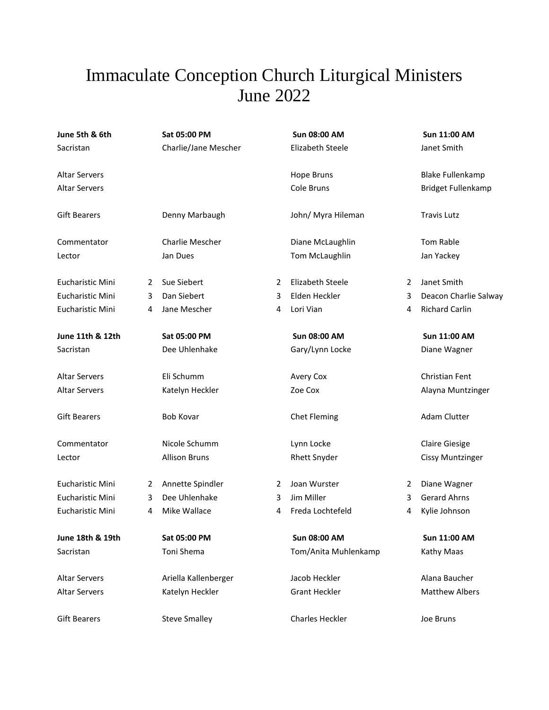## Immaculate Conception Church Liturgical Ministers June 2022

| June 5th & 6th       |   | Sat 05:00 PM         |   | Sun 08:00 AM            |   | Sun 11:00 AM              |
|----------------------|---|----------------------|---|-------------------------|---|---------------------------|
| Sacristan            |   | Charlie/Jane Mescher |   | <b>Elizabeth Steele</b> |   | Janet Smith               |
| <b>Altar Servers</b> |   |                      |   | <b>Hope Bruns</b>       |   | <b>Blake Fullenkamp</b>   |
| <b>Altar Servers</b> |   |                      |   | Cole Bruns              |   | <b>Bridget Fullenkamp</b> |
| <b>Gift Bearers</b>  |   | Denny Marbaugh       |   | John/ Myra Hileman      |   | <b>Travis Lutz</b>        |
| Commentator          |   | Charlie Mescher      |   | Diane McLaughlin        |   | Tom Rable                 |
| Lector               |   | Jan Dues             |   | Tom McLaughlin          |   | Jan Yackey                |
| Eucharistic Mini     | 2 | Sue Siebert          | 2 | <b>Elizabeth Steele</b> | 2 | Janet Smith               |
| Eucharistic Mini     | 3 | Dan Siebert          | 3 | Elden Heckler           | 3 | Deacon Charlie Salway     |
| Eucharistic Mini     | 4 | Jane Mescher         | 4 | Lori Vian               | 4 | <b>Richard Carlin</b>     |
| June 11th & 12th     |   | Sat 05:00 PM         |   | Sun 08:00 AM            |   | Sun 11:00 AM              |
| Sacristan            |   | Dee Uhlenhake        |   | Gary/Lynn Locke         |   | Diane Wagner              |
| <b>Altar Servers</b> |   | Eli Schumm           |   | Avery Cox               |   | Christian Fent            |
| <b>Altar Servers</b> |   | Katelyn Heckler      |   | Zoe Cox                 |   | Alayna Muntzinger         |
| <b>Gift Bearers</b>  |   | <b>Bob Kovar</b>     |   | Chet Fleming            |   | Adam Clutter              |
| Commentator          |   | Nicole Schumm        |   | Lynn Locke              |   | <b>Claire Giesige</b>     |
| Lector               |   | <b>Allison Bruns</b> |   | <b>Rhett Snyder</b>     |   | <b>Cissy Muntzinger</b>   |
| Eucharistic Mini     | 2 | Annette Spindler     | 2 | Joan Wurster            | 2 | Diane Wagner              |
| Eucharistic Mini     | 3 | Dee Uhlenhake        | 3 | Jim Miller              | 3 | <b>Gerard Ahrns</b>       |
| Eucharistic Mini     | 4 | Mike Wallace         | 4 | Freda Lochtefeld        | 4 | Kylie Johnson             |
| June 18th & 19th     |   | Sat 05:00 PM         |   | Sun 08:00 AM            |   | Sun 11:00 AM              |
| Sacristan            |   | Toni Shema           |   | Tom/Anita Muhlenkamp    |   | Kathy Maas                |
| <b>Altar Servers</b> |   | Ariella Kallenberger |   | Jacob Heckler           |   | Alana Baucher             |
| <b>Altar Servers</b> |   | Katelyn Heckler      |   | <b>Grant Heckler</b>    |   | <b>Matthew Albers</b>     |
| <b>Gift Bearers</b>  |   | <b>Steve Smalley</b> |   | Charles Heckler         |   | Joe Bruns                 |